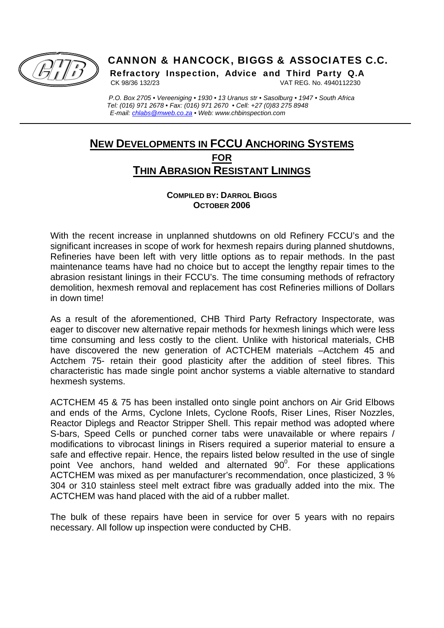

 $\overline{a}$ 

# CANNON & HANCOCK, BIGGS & ASSOCIATES C.C.

Refractory Inspection, Advice and Third Party Q.A

CK 98/36 132/23 VAT REG. No. 4940112230

 *P.O. Box 2705 • Vereeniging • 1930 • 13 Uranus str • Sasolburg • 1947 • South Africa Tel: (016) 971 2678 • Fax: (016) 971 2670 • Cell: +27 (0)83 275 8948 E-mail: chlabs@mweb.co.za • Web: www.chbinspection.com* 

# **NEW DEVELOPMENTS IN FCCU ANCHORING SYSTEMS FOR THIN ABRASION RESISTANT LININGS**

#### **COMPILED BY: DARROL BIGGS OCTOBER 2006**

With the recent increase in unplanned shutdowns on old Refinery FCCU's and the significant increases in scope of work for hexmesh repairs during planned shutdowns, Refineries have been left with very little options as to repair methods. In the past maintenance teams have had no choice but to accept the lengthy repair times to the abrasion resistant linings in their FCCU's. The time consuming methods of refractory demolition, hexmesh removal and replacement has cost Refineries millions of Dollars in down time!

As a result of the aforementioned, CHB Third Party Refractory Inspectorate, was eager to discover new alternative repair methods for hexmesh linings which were less time consuming and less costly to the client. Unlike with historical materials, CHB have discovered the new generation of ACTCHEM materials –Actchem 45 and Actchem 75- retain their good plasticity after the addition of steel fibres. This characteristic has made single point anchor systems a viable alternative to standard hexmesh systems.

ACTCHEM 45 & 75 has been installed onto single point anchors on Air Grid Elbows and ends of the Arms, Cyclone Inlets, Cyclone Roofs, Riser Lines, Riser Nozzles, Reactor Diplegs and Reactor Stripper Shell. This repair method was adopted where S-bars, Speed Cells or punched corner tabs were unavailable or where repairs / modifications to vibrocast linings in Risers required a superior material to ensure a safe and effective repair. Hence, the repairs listed below resulted in the use of single point Vee anchors, hand welded and alternated  $90^{\circ}$ . For these applications ACTCHEM was mixed as per manufacturer's recommendation, once plasticized, 3 % 304 or 310 stainless steel melt extract fibre was gradually added into the mix. The ACTCHEM was hand placed with the aid of a rubber mallet.

The bulk of these repairs have been in service for over 5 years with no repairs necessary. All follow up inspection were conducted by CHB.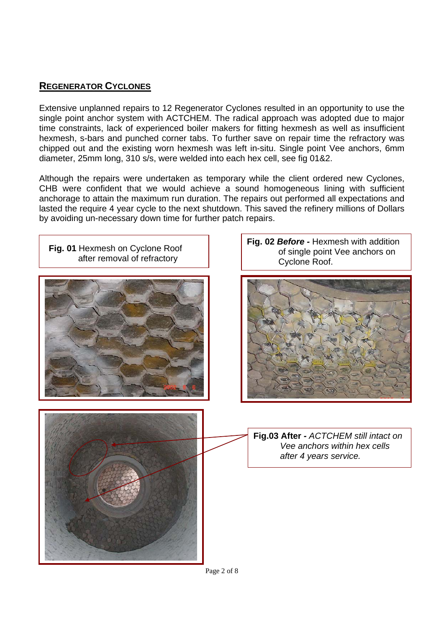### **REGENERATOR CYCLONES**

Extensive unplanned repairs to 12 Regenerator Cyclones resulted in an opportunity to use the single point anchor system with ACTCHEM. The radical approach was adopted due to major time constraints, lack of experienced boiler makers for fitting hexmesh as well as insufficient hexmesh, s-bars and punched corner tabs. To further save on repair time the refractory was chipped out and the existing worn hexmesh was left in-situ. Single point Vee anchors, 6mm diameter, 25mm long, 310 s/s, were welded into each hex cell, see fig 01&2.

Although the repairs were undertaken as temporary while the client ordered new Cyclones, CHB were confident that we would achieve a sound homogeneous lining with sufficient anchorage to attain the maximum run duration. The repairs out performed all expectations and lasted the require 4 year cycle to the next shutdown. This saved the refinery millions of Dollars by avoiding un-necessary down time for further patch repairs.

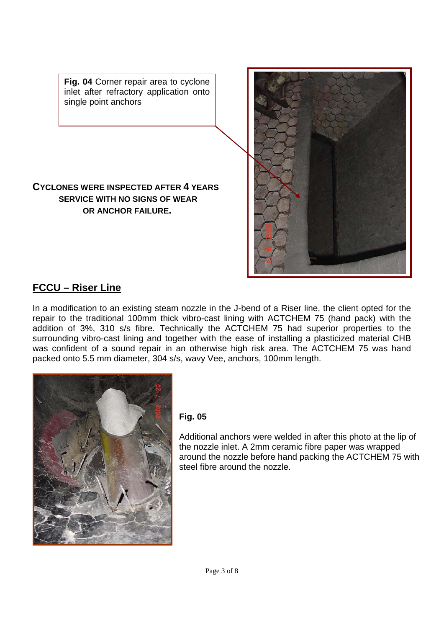**Fig. 04** Corner repair area to cyclone inlet after refractory application onto single point anchors

### **CYCLONES WERE INSPECTED AFTER 4 YEARS SERVICE WITH NO SIGNS OF WEAR OR ANCHOR FAILURE.**



## **FCCU – Riser Line**

In a modification to an existing steam nozzle in the J-bend of a Riser line, the client opted for the repair to the traditional 100mm thick vibro-cast lining with ACTCHEM 75 (hand pack) with the addition of 3%, 310 s/s fibre. Technically the ACTCHEM 75 had superior properties to the surrounding vibro-cast lining and together with the ease of installing a plasticized material CHB was confident of a sound repair in an otherwise high risk area. The ACTCHEM 75 was hand packed onto 5.5 mm diameter, 304 s/s, wavy Vee, anchors, 100mm length.



#### **Fig. 05**

Additional anchors were welded in after this photo at the lip of the nozzle inlet. A 2mm ceramic fibre paper was wrapped around the nozzle before hand packing the ACTCHEM 75 with steel fibre around the nozzle.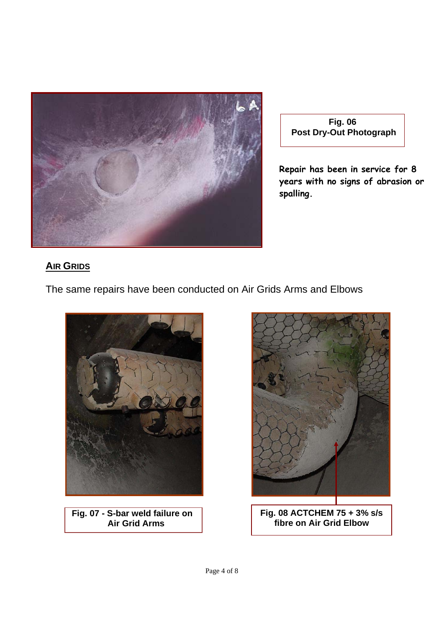

**Fig. 06 Post Dry-Out Photograph** 

**Repair has been in service for 8 years with no signs of abrasion or spalling.** 

## **AIR GRIDS**

The same repairs have been conducted on Air Grids Arms and Elbows



**Fig. 07 - S-bar weld failure on Air Grid Arms** 



**Fig. 08 ACTCHEM 75 + 3% s/s fibre on Air Grid Elbow**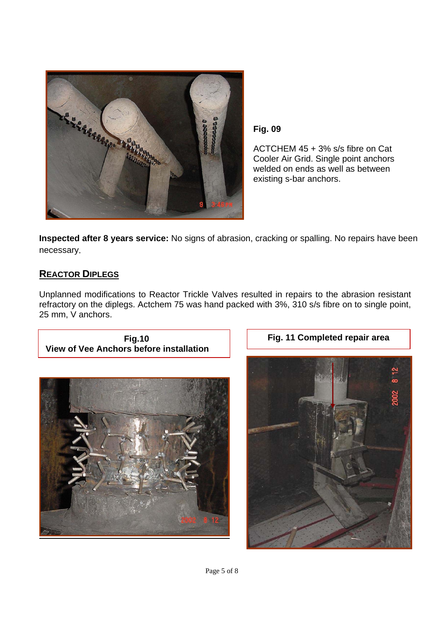

**Fig. 09** 

ACTCHEM 45 + 3% s/s fibre on Cat Cooler Air Grid. Single point anchors welded on ends as well as between existing s-bar anchors.

**Inspected after 8 years service:** No signs of abrasion, cracking or spalling. No repairs have been necessary.

### **REACTOR DIPLEGS**

Unplanned modifications to Reactor Trickle Valves resulted in repairs to the abrasion resistant refractory on the diplegs. Actchem 75 was hand packed with 3%, 310 s/s fibre on to single point, 25 mm, V anchors.



**Fig.10** 



**Fig. 11 Completed repair area** 

Page 5 of 8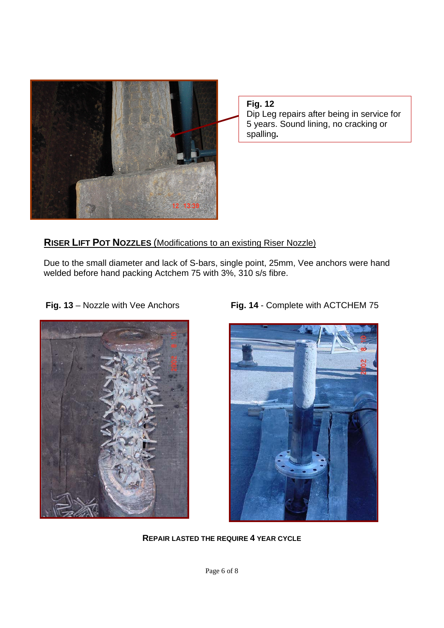

**Fig. 12**  Dip Leg repairs after being in service for 5 years. Sound lining, no cracking or spalling**.** 

### **RISER LIFT POT NOZZLES** (Modifications to an existing Riser Nozzle)

 Due to the small diameter and lack of S-bars, single point, 25mm, Vee anchors were hand welded before hand packing Actchem 75 with 3%, 310 s/s fibre.



**Fig. 13** – Nozzle with Vee Anchors **Fig. 14** - Complete with ACTCHEM 75



**REPAIR LASTED THE REQUIRE 4 YEAR CYCLE**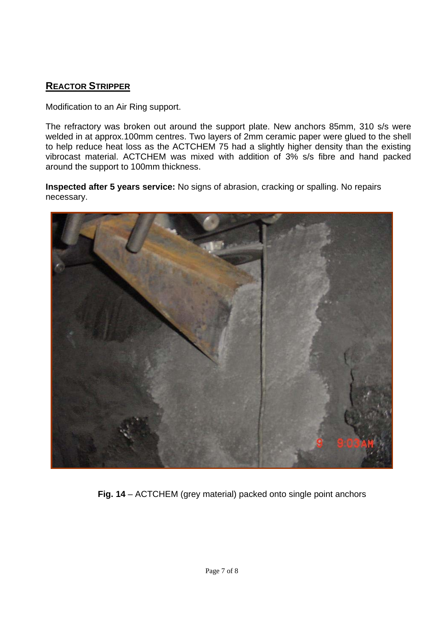## **REACTOR STRIPPER**

Modification to an Air Ring support.

The refractory was broken out around the support plate. New anchors 85mm, 310 s/s were welded in at approx.100mm centres. Two layers of 2mm ceramic paper were glued to the shell to help reduce heat loss as the ACTCHEM 75 had a slightly higher density than the existing vibrocast material. ACTCHEM was mixed with addition of 3% s/s fibre and hand packed around the support to 100mm thickness.

**Inspected after 5 years service:** No signs of abrasion, cracking or spalling. No repairs necessary.



**Fig. 14** – ACTCHEM (grey material) packed onto single point anchors